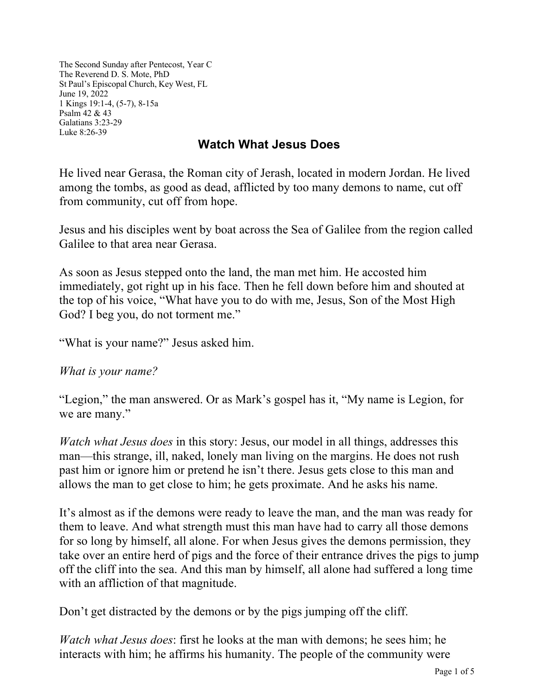The Second Sunday after Pentecost, Year C The Reverend D. S. Mote, PhD St Paul's Episcopal Church, Key West, FL June 19, 2022 1 Kings 19:1-4, (5-7), 8-15a Psalm 42 & 43 Galatians 3:23-29 Luke 8:26-39

## **Watch What Jesus Does**

He lived near Gerasa, the Roman city of Jerash, located in modern Jordan. He lived among the tombs, as good as dead, afflicted by too many demons to name, cut off from community, cut off from hope.

Jesus and his disciples went by boat across the Sea of Galilee from the region called Galilee to that area near Gerasa.

As soon as Jesus stepped onto the land, the man met him. He accosted him immediately, got right up in his face. Then he fell down before him and shouted at the top of his voice, "What have you to do with me, Jesus, Son of the Most High God? I beg you, do not torment me."

"What is your name?" Jesus asked him.

*What is your name?*

"Legion," the man answered. Or as Mark's gospel has it, "My name is Legion, for we are many."

*Watch what Jesus does* in this story: Jesus, our model in all things, addresses this man—this strange, ill, naked, lonely man living on the margins. He does not rush past him or ignore him or pretend he isn't there. Jesus gets close to this man and allows the man to get close to him; he gets proximate. And he asks his name.

It's almost as if the demons were ready to leave the man, and the man was ready for them to leave. And what strength must this man have had to carry all those demons for so long by himself, all alone. For when Jesus gives the demons permission, they take over an entire herd of pigs and the force of their entrance drives the pigs to jump off the cliff into the sea. And this man by himself, all alone had suffered a long time with an affliction of that magnitude.

Don't get distracted by the demons or by the pigs jumping off the cliff.

*Watch what Jesus does*: first he looks at the man with demons; he sees him; he interacts with him; he affirms his humanity. The people of the community were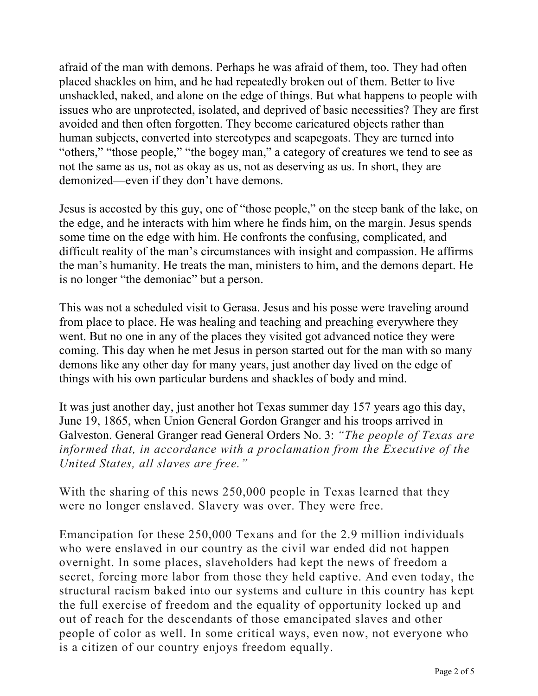afraid of the man with demons. Perhaps he was afraid of them, too. They had often placed shackles on him, and he had repeatedly broken out of them. Better to live unshackled, naked, and alone on the edge of things. But what happens to people with issues who are unprotected, isolated, and deprived of basic necessities? They are first avoided and then often forgotten. They become caricatured objects rather than human subjects, converted into stereotypes and scapegoats. They are turned into "others," "those people," "the bogey man," a category of creatures we tend to see as not the same as us, not as okay as us, not as deserving as us. In short, they are demonized—even if they don't have demons.

Jesus is accosted by this guy, one of "those people," on the steep bank of the lake, on the edge, and he interacts with him where he finds him, on the margin. Jesus spends some time on the edge with him. He confronts the confusing, complicated, and difficult reality of the man's circumstances with insight and compassion. He affirms the man's humanity. He treats the man, ministers to him, and the demons depart. He is no longer "the demoniac" but a person.

This was not a scheduled visit to Gerasa. Jesus and his posse were traveling around from place to place. He was healing and teaching and preaching everywhere they went. But no one in any of the places they visited got advanced notice they were coming. This day when he met Jesus in person started out for the man with so many demons like any other day for many years, just another day lived on the edge of things with his own particular burdens and shackles of body and mind.

It was just another day, just another hot Texas summer day 157 years ago this day, June 19, 1865, when Union General Gordon Granger and his troops arrived in Galveston. General Granger read General Orders No. 3: *"The people of Texas are informed that, in accordance with a proclamation from the Executive of the United States, all slaves are free."*

With the sharing of this news 250,000 people in Texas learned that they were no longer enslaved. Slavery was over. They were free.

Emancipation for these 250,000 Texans and for the 2.9 million individuals who were enslaved in our country as the civil war ended did not happen overnight. In some places, slaveholders had kept the news of freedom a secret, forcing more labor from those they held captive. And even today, the structural racism baked into our systems and culture in this country has kept the full exercise of freedom and the equality of opportunity locked up and out of reach for the descendants of those emancipated slaves and other people of color as well. In some critical ways, even now, not everyone who is a citizen of our country enjoys freedom equally.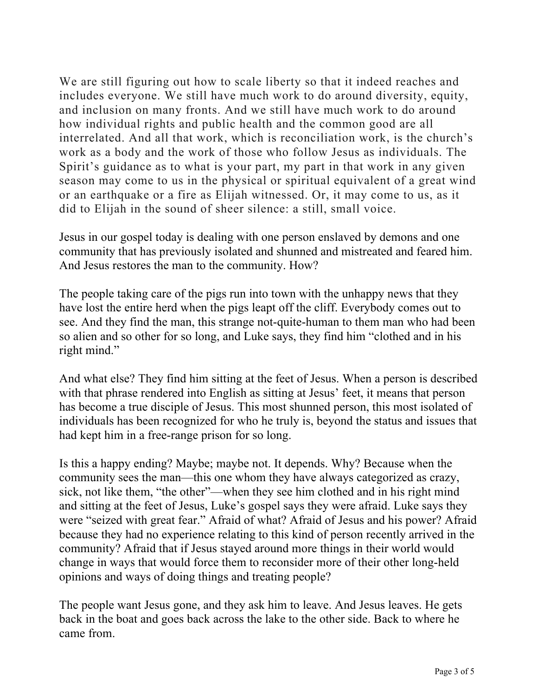We are still figuring out how to scale liberty so that it indeed reaches and includes everyone. We still have much work to do around diversity, equity, and inclusion on many fronts. And we still have much work to do around how individual rights and public health and the common good are all interrelated. And all that work, which is reconciliation work, is the church's work as a body and the work of those who follow Jesus as individuals. The Spirit's guidance as to what is your part, my part in that work in any given season may come to us in the physical or spiritual equivalent of a great wind or an earthquake or a fire as Elijah witnessed. Or, it may come to us, as it did to Elijah in the sound of sheer silence: a still, small voice.

Jesus in our gospel today is dealing with one person enslaved by demons and one community that has previously isolated and shunned and mistreated and feared him. And Jesus restores the man to the community. How?

The people taking care of the pigs run into town with the unhappy news that they have lost the entire herd when the pigs leapt off the cliff. Everybody comes out to see. And they find the man, this strange not-quite-human to them man who had been so alien and so other for so long, and Luke says, they find him "clothed and in his right mind."

And what else? They find him sitting at the feet of Jesus. When a person is described with that phrase rendered into English as sitting at Jesus' feet, it means that person has become a true disciple of Jesus. This most shunned person, this most isolated of individuals has been recognized for who he truly is, beyond the status and issues that had kept him in a free-range prison for so long.

Is this a happy ending? Maybe; maybe not. It depends. Why? Because when the community sees the man—this one whom they have always categorized as crazy, sick, not like them, "the other"—when they see him clothed and in his right mind and sitting at the feet of Jesus, Luke's gospel says they were afraid. Luke says they were "seized with great fear." Afraid of what? Afraid of Jesus and his power? Afraid because they had no experience relating to this kind of person recently arrived in the community? Afraid that if Jesus stayed around more things in their world would change in ways that would force them to reconsider more of their other long-held opinions and ways of doing things and treating people?

The people want Jesus gone, and they ask him to leave. And Jesus leaves. He gets back in the boat and goes back across the lake to the other side. Back to where he came from.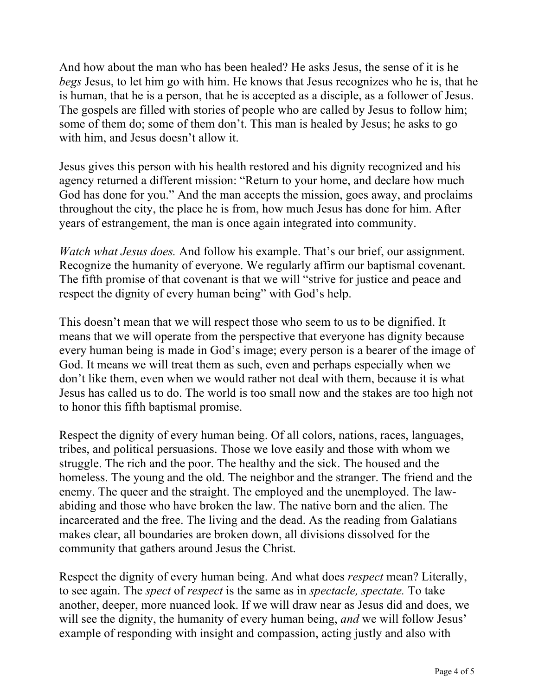And how about the man who has been healed? He asks Jesus, the sense of it is he *begs* Jesus, to let him go with him. He knows that Jesus recognizes who he is, that he is human, that he is a person, that he is accepted as a disciple, as a follower of Jesus. The gospels are filled with stories of people who are called by Jesus to follow him; some of them do; some of them don't. This man is healed by Jesus; he asks to go with him, and Jesus doesn't allow it.

Jesus gives this person with his health restored and his dignity recognized and his agency returned a different mission: "Return to your home, and declare how much God has done for you." And the man accepts the mission, goes away, and proclaims throughout the city, the place he is from, how much Jesus has done for him. After years of estrangement, the man is once again integrated into community.

*Watch what Jesus does.* And follow his example. That's our brief, our assignment. Recognize the humanity of everyone. We regularly affirm our baptismal covenant. The fifth promise of that covenant is that we will "strive for justice and peace and respect the dignity of every human being" with God's help.

This doesn't mean that we will respect those who seem to us to be dignified. It means that we will operate from the perspective that everyone has dignity because every human being is made in God's image; every person is a bearer of the image of God. It means we will treat them as such, even and perhaps especially when we don't like them, even when we would rather not deal with them, because it is what Jesus has called us to do. The world is too small now and the stakes are too high not to honor this fifth baptismal promise.

Respect the dignity of every human being. Of all colors, nations, races, languages, tribes, and political persuasions. Those we love easily and those with whom we struggle. The rich and the poor. The healthy and the sick. The housed and the homeless. The young and the old. The neighbor and the stranger. The friend and the enemy. The queer and the straight. The employed and the unemployed. The lawabiding and those who have broken the law. The native born and the alien. The incarcerated and the free. The living and the dead. As the reading from Galatians makes clear, all boundaries are broken down, all divisions dissolved for the community that gathers around Jesus the Christ.

Respect the dignity of every human being. And what does *respect* mean? Literally, to see again. The *spect* of *respect* is the same as in *spectacle, spectate.* To take another, deeper, more nuanced look. If we will draw near as Jesus did and does, we will see the dignity, the humanity of every human being, *and* we will follow Jesus' example of responding with insight and compassion, acting justly and also with